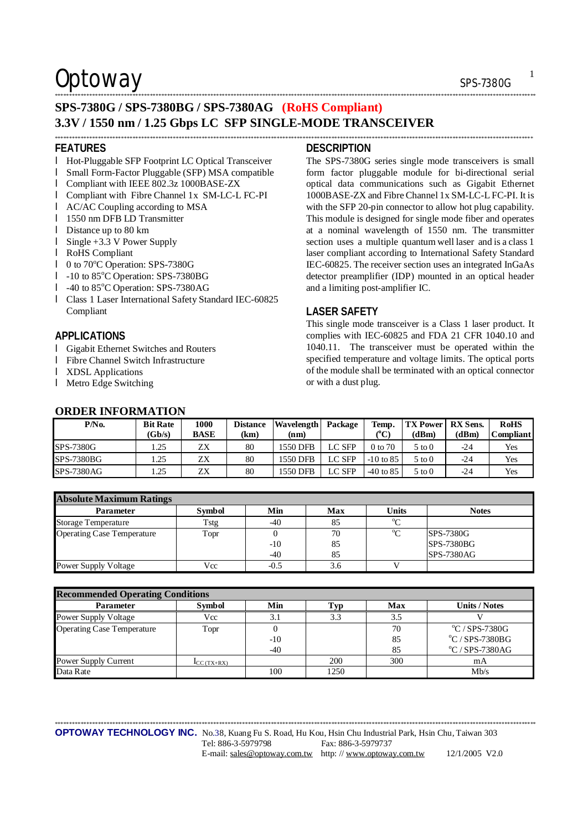## $Optionway$  sps-7380G

### **SPS-7380G / SPS-7380BG / SPS-7380AG (RoHS Compliant) 3.3V / 1550 nm / 1.25 Gbps LC SFP SINGLE-MODE TRANSCEIVER**  \*\*\*\*\*\*\*\*\*\*\*\*\*\*\*\*\*\*\*\*\*\*\*\*\*\*\*\*\*\*\*\*\*\*\*\*\*\*\*\*\*\*\*\*\*\*\*\*\*\*\*\*\*\*\*\*\*\*\*\*\*\*\*\*\*\*\*\*\*\*\*\*\*\*\*\*\*\*\*\*\*\*\*\*\*\*\*\*\*\*\*\*\*\*\*\*\*\*\*\*\*\*\*\*\*\*\*\*\*\*\*\*\*\*\*\*\*\*\*\*\*\*\*\*\*\*\*\*\*\*\*\*\*\*\*\*\*\*\*\*\*\*\*\*\*\*\*\*\*\*\*\*\*\*\*\*\*\*\*\*\*\*\*\*\*\*

#### **FEATURES**

- l Hot-Pluggable SFP Footprint LC Optical Transceiver
- l Small Form-Factor Pluggable (SFP) MSA compatible
- l Compliant with IEEE 802.3z 1000BASE-ZX
- l Compliant with Fibre Channel 1x SM-LC-L FC-PI
- l AC/AC Coupling according to MSA
- 1 1550 nm DFB LD Transmitter
- l Distance up to 80 km
- l Single +3.3 V Power Supply
- l RoHS Compliant
- l 0 to 70°C Operation: SPS-7380G
- l -10 to 85°C Operation: SPS-7380BG
- $l$  -40 to 85 $^{\circ}$ C Operation: SPS-7380AG
- l Class 1 Laser International Safety Standard IEC-60825 Compliant

### **APPLICATIONS**

- l Gigabit Ethernet Switches and Routers
- l Fibre Channel Switch Infrastructure

**ORDER INFORMATION** 

- l XDSL Applications
- l Metro Edge Switching

### **DESCRIPTION**

\*\*\*\*\*\*\*\*\*\*\*\*\*\*\*\*\*\*\*\*\*\*\*\*\*\*\*\*\*\*\*\*\*\*\*\*\*\*\*\*\*\*\*\*\*\*\*\*\*\*\*\*\*\*\*\*\*\*\*\*\*\*\*\*\*\*\*\*\*\*\*\*\*\*\*\*\*\*\*\*\*\*\*\*\*\*\*\*\*\*\*\*\*\*\*\*\*\*\*\*\*\*\*\*\*\*\*\*\*\*\*\*\*\*\*\*\*\*\*\*\*\*\*\*\*\*\*\*\*\*\*\*\*\*\*\*\*\*\*\*\*\*\*\*\*\*\*\*\*\*\*\*\*\*\*\*\*\*\*\*\*\*\*\*\*\*\*

The SPS-7380G series single mode transceivers is small form factor pluggable module for bi-directional serial optical data communications such as Gigabit Ethernet 1000BASE-ZX and FibreChannel 1x SM-LC-L FC-PI. It is with the SFP 20-pin connector to allow hot plug capability. This module is designed for single mode fiber and operates at a nominal wavelength of 1550 nm. The transmitter section uses a multiple quantum well laser and is a class 1 laser compliant according to International Safety Standard IEC-60825. The receiver section uses an integrated InGaAs detector preamplifier (IDP) mounted in an optical header and a limiting post-amplifier IC.

### **LASER SAFETY**

This single mode transceiver is a Class 1 laser product. It complies with IEC-60825 and FDA 21 CFR 1040.10 and 1040.11. The transceiver must be operated within the specified temperature and voltage limits. The optical ports of the module shall be terminated with an optical connector or with a dust plug.

| <u>VADER INFORMATION</u> |                 |             |      |                     |  |  |  |
|--------------------------|-----------------|-------------|------|---------------------|--|--|--|
| P/N <sub>0</sub>         | <b>Bit Rate</b> | 1000        |      | Distance Wavelength |  |  |  |
|                          | (Gb/s)          | <b>BASE</b> | (km) | (nm)                |  |  |  |

| P/N <sub>0</sub>  | <b>Bit Rate</b> | 1000        | <b>Distance</b> | <b>Wavelength</b> | Package       | Temp.       | <b>TX Power</b>   | <b>RX</b> Sens. | <b>RoHS</b>      |
|-------------------|-----------------|-------------|-----------------|-------------------|---------------|-------------|-------------------|-----------------|------------------|
|                   | (Gb/s)          | <b>BASE</b> | (km)            | (nm)              |               | $\rm ^{o}C$ | (dBm)             | (dBm)           | <b>Compliant</b> |
| <b>SPS-7380G</b>  | . 25            | ZΧ          | 80              | 1550 DFB          | LC SFP        | 0 to 70     | $5 \text{ to } 0$ | -24             | Yes              |
| <b>SPS-7380BG</b> | 1.25            | ZΧ          | 80              | 1550 DFB          | LC SFP        | $-10$ to 85 | 5 to 0            | $-24$           | Yes              |
| <b>SPS-7380AG</b> | . 25            | ΖX          | 80              | 1550 DFB          | <b>LC SFP</b> | $-40$ to 85 | 5 to 0            | $-24$           | Yes              |

| <b>Absolute Maximum Ratings</b>   |               |        |     |              |                   |  |
|-----------------------------------|---------------|--------|-----|--------------|-------------------|--|
| <b>Parameter</b>                  | <b>Symbol</b> | Min    | Max | <b>Units</b> | <b>Notes</b>      |  |
| <b>Storage Temperature</b>        | Tstg          | $-40$  | 85  |              |                   |  |
| <b>Operating Case Temperature</b> | Topr          |        | 70  | $\sim$       | <b>SPS-7380G</b>  |  |
|                                   |               | $-10$  | 85  |              | <b>SPS-7380BG</b> |  |
|                                   |               | $-40$  | 85  |              | <b>SPS-7380AG</b> |  |
| <b>Power Supply Voltage</b>       | Vcc           | $-0.5$ | 3.6 |              |                   |  |

| <b>Recommended Operating Conditions</b> |                          |       |      |     |                                   |  |  |
|-----------------------------------------|--------------------------|-------|------|-----|-----------------------------------|--|--|
| <b>Parameter</b>                        | <b>Symbol</b>            | Min   | Typ  | Max | <b>Units / Notes</b>              |  |  |
| <b>Power Supply Voltage</b>             | Vcc                      | 3.1   | 3.3  | 3.5 |                                   |  |  |
| <b>Operating Case Temperature</b>       | Topr                     |       |      | 70  | $\mathrm{^{\circ}C}$ / SPS-7380G  |  |  |
|                                         |                          | $-10$ |      | 85  | $\mathrm{°C}$ / SPS-7380BG        |  |  |
|                                         |                          | $-40$ |      | 85  | $\mathrm{^{\circ}C}$ / SPS-7380AG |  |  |
| <b>Power Supply Current</b>             | $\mathbf{I}_{CC(TX+RX)}$ |       | 200  | 300 | mA                                |  |  |
| Data Rate                               |                          | 100   | 1250 |     | Mb/s                              |  |  |

\*\*\*\*\*\*\*\*\*\*\*\*\*\*\*\*\*\*\*\*\*\*\*\*\*\*\*\*\*\*\*\*\*\*\*\*\*\*\*\*\*\*\*\*\*\*\*\*\*\*\*\*\*\*\*\*\*\*\*\*\*\*\*\*\*\*\*\*\*\*\*\*\*\*\*\*\*\*\*\*\*\*\*\*\*\*\*\*\*\*\*\*\*\*\*\*\*\*\*\*\*\*\*\*\*\*\*\*\*\*\*\*\*\*\*\*\*\*\*\*\*\*\*\*\*\*\*\*\*\*\*\*\*\*\*\*\*\*\*\*\*\*\*\*\*\*\*\*\*\*\*\*\*\*\*\*\*\*\*\*\*\*\*\*\*\*\*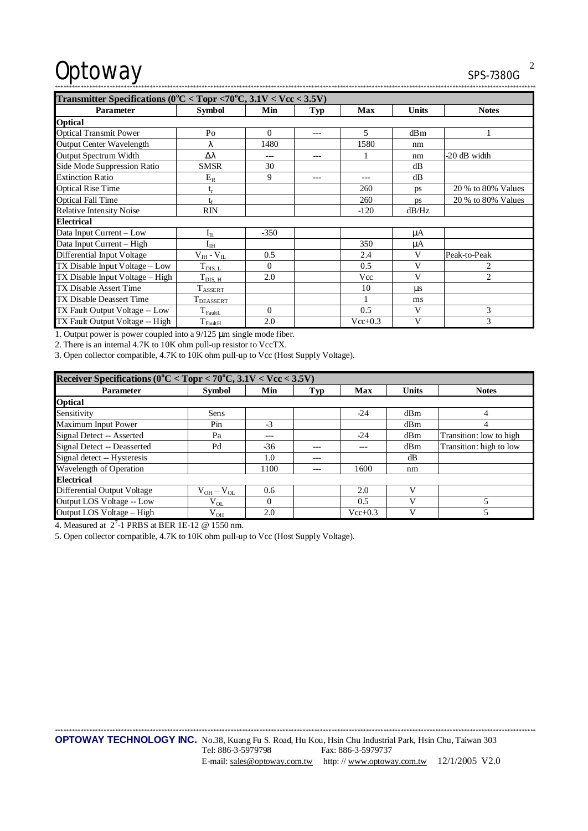# Optoway

SPS-7380G

| Transmitter Specifications (0°C < Topr <70°C, 3.1V < Vcc < 3.5V) |                                     |          |       |            |              |                    |
|------------------------------------------------------------------|-------------------------------------|----------|-------|------------|--------------|--------------------|
| <b>Parameter</b>                                                 | <b>Symbol</b>                       | Min      | Typ   | <b>Max</b> | <b>Units</b> | <b>Notes</b>       |
| Optical                                                          |                                     |          |       |            |              |                    |
| <b>Optical Transmit Power</b>                                    | Po                                  | $\theta$ | $---$ | 5          | dBm          |                    |
| <b>Output Center Wavelength</b>                                  | λ                                   | 1480     |       | 1580       | nm           |                    |
| <b>Output Spectrum Width</b>                                     | Δλ                                  | ---      | $---$ |            | nm           | -20 dB width       |
| Side Mode Suppression Ratio                                      | <b>SMSR</b>                         | 30       |       |            | dB           |                    |
| <b>Extinction Ratio</b>                                          | $E_R$                               | 9        |       | ---        | dB           |                    |
| <b>Optical Rise Time</b>                                         | $t_r$                               |          |       | 260        | ps           | 20 % to 80% Values |
| <b>Optical Fall Time</b>                                         | tr                                  |          |       | 260        | ps           | 20 % to 80% Values |
| <b>Relative Intensity Noise</b>                                  | <b>RIN</b>                          |          |       | $-120$     | dB/Hz        |                    |
| <b>Electrical</b>                                                |                                     |          |       |            |              |                    |
| Data Input Current - Low                                         | $I_{IL}$                            | $-350$   |       |            | μA           |                    |
| Data Input Current - High                                        | $I_{\rm IH}$                        |          |       | 350        | μA           |                    |
| Differential Input Voltage                                       | $\rm V_{\rm IH}$ - $\rm V_{\rm IL}$ | 0.5      |       | 2.4        | V            | Peak-to-Peak       |
| TX Disable Input Voltage – Low                                   | $T_{\rm DIS,~L}$                    | $\theta$ |       | 0.5        | V            | 2                  |
| TX Disable Input Voltage - High                                  | $T_{\text{DIS, H}}$                 | 2.0      |       | Vcc        | V            | $\overline{2}$     |
| TX Disable Assert Time                                           | $T_{ASSERT}$                        |          |       | 10         | us           |                    |
| TX Disable Deassert Time                                         | T <sub>DEASSERT</sub>               |          |       | 1          | ms           |                    |
| TX Fault Output Voltage -- Low                                   | $T_{FaultL}$                        | $\theta$ |       | 0.5        | V            | 3                  |
| TX Fault Output Voltage -- High                                  | $T_{\text{FaultH}}$                 | 2.0      |       | $Vec+0.3$  | V            | 3                  |

1. Output power is power coupled into a 9/125 µm single mode fiber.

2. There is an internal 4.7K to 10K ohm pull-up resistor to VccTX.

3. Open collector compatible, 4.7K to 10K ohm pull-up to Vcc (Host Supply Voltage).

| Receiver Specifications ( $0^{\circ}$ C < Topr < 70°C, $3.1$ V < Vcc < 3.5V) |                   |          |         |             |              |                         |  |
|------------------------------------------------------------------------------|-------------------|----------|---------|-------------|--------------|-------------------------|--|
| <b>Parameter</b>                                                             | <b>Symbol</b>     | Min      | Typ     | Max         | <b>Units</b> | <b>Notes</b>            |  |
| <b>Optical</b>                                                               |                   |          |         |             |              |                         |  |
| Sensitivity                                                                  | Sens              |          |         | $-24$       | dBm          | 4                       |  |
| Maximum Input Power                                                          | Pin               | $-3$     |         |             | dBm          | 4                       |  |
| Signal Detect -- Asserted                                                    | Pa                | ---      |         | $-24$       | dBm          | Transition: low to high |  |
| Signal Detect -- Deasserted                                                  | Pd                | $-36$    | $- - -$ | ---         | dBm          | Transition: high to low |  |
| Signal detect -- Hysteresis                                                  |                   | 1.0      | $---$   |             | dB           |                         |  |
| Wavelength of Operation                                                      |                   | 1100     |         | 1600        | nm           |                         |  |
| <b>Electrical</b>                                                            |                   |          |         |             |              |                         |  |
| Differential Output Voltage                                                  | $V_{OH} - V_{OL}$ | 0.6      |         | 2.0         | V            |                         |  |
| Output LOS Voltage -- Low                                                    | $\rm V_{OL}$      | $\Omega$ |         | 0.5         | V            |                         |  |
| Output LOS Voltage - High                                                    | $\rm V_{OH}$      | 2.0      |         | $Vec{+}0.3$ | V            | 5                       |  |

4. Measured at  $2^7$ -1 PRBS at BER 1E-12 @ 1550 nm.

5. Open collector compatible, 4.7K to 10K ohm pull-up to Vcc (Host Supply Voltage).

OPTOWAY TECHNOLOGY INC. No.38, Kuang Fu S. Road, Hu Kou, Hsin Chu Industrial Park, Hsin Chu, Taiwan 303 Tel: 886-3-5979798 Fax: 886-3-5979737 E-mail: sales@optoway.com.tw http://www.optoway.com.tw 12/1/2005 V2.0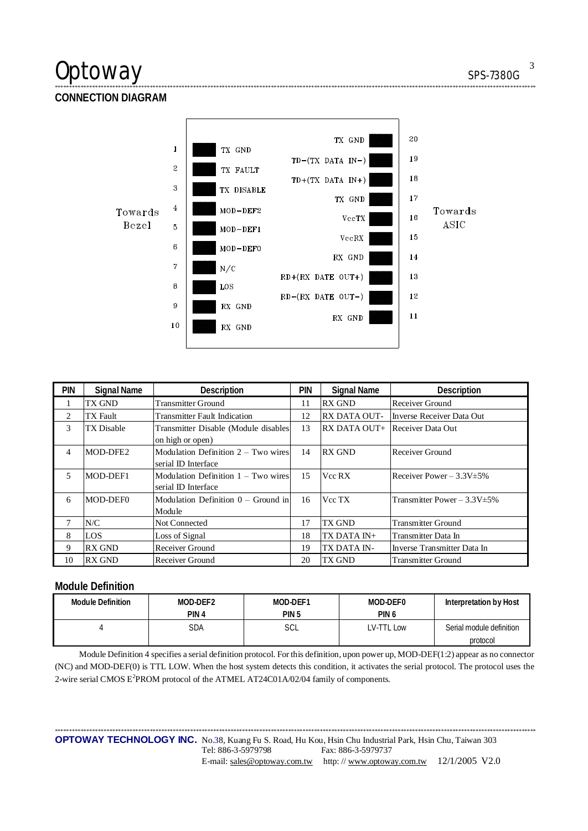## $\mathsf{Optionway}$  sps-7380G

**CONNECTION DIAGRAM** 



\*\*\*\*\*\*\*\*\*\*\*\*\*\*\*\*\*\*\*\*\*\*\*\*\*\*\*\*\*\*\*\*\*\*\*\*\*\*\*\*\*\*\*\*\*\*\*\*\*\*\*\*\*\*\*\*\*\*\*\*\*\*\*\*\*\*\*\*\*\*\*\*\*\*\*\*\*\*\*\*\*\*\*\*\*\*\*\*\*\*\*\*\*\*\*\*\*\*\*\*\*\*\*\*\*\*\*\*\*\*\*\*\*\*\*\*\*\*\*\*\*\*\*\*\*\*\*\*\*\*\*\*\*\*\*\*\*\*\*\*\*\*\*\*\*\*\*\*\*\*\*\*\*\*\*\*\*\*\*\*\*\*\*\*\*\*\*

| <b>PIN</b>     | <b>Signal Name</b> | Description                           | <b>PIN</b> | <b>Signal Name</b>  | Description                        |
|----------------|--------------------|---------------------------------------|------------|---------------------|------------------------------------|
|                | TX GND             | <b>Transmitter Ground</b>             | 11         | <b>RX GND</b>       | Receiver Ground                    |
| $\overline{2}$ | TX Fault           | <b>Transmitter Fault Indication</b>   | 12         | <b>RX DATA OUT-</b> | Inverse Receiver Data Out          |
| 3              | TX Disable         | Transmitter Disable (Module disables  | 13         |                     | RX DATA OUT+ Receiver Data Out     |
|                |                    | on high or open)                      |            |                     |                                    |
| 4              | MOD-DFE2           | Modulation Definition $2 - Two wires$ | 14         | <b>RX GND</b>       | Receiver Ground                    |
|                |                    | serial ID Interface                   |            |                     |                                    |
| 5              | MOD-DEF1           | Modulation Definition $1 - Two wires$ | 15         | Vcc RX              | Receiver Power $-3.3V \pm 5\%$     |
|                |                    | serial ID Interface                   |            |                     |                                    |
| 6              | MOD-DEF0           | Modulation Definition $0 -$ Ground in | 16         | Vcc TX              | Transmitter Power – $3.3V \pm 5\%$ |
|                |                    | Module                                |            |                     |                                    |
|                | N/C                | <b>Not Connected</b>                  | 17         | TX GND              | <b>Transmitter Ground</b>          |
| 8              | <b>LOS</b>         | Loss of Signal                        | 18         | TX DATA IN+         | Transmitter Data In                |
| 9              | <b>RX GND</b>      | Receiver Ground                       | 19         | TX DATA IN-         | Inverse Transmitter Data In        |
| 10             | <b>RX GND</b>      | Receiver Ground                       | 20         | <b>TX GND</b>       | <b>Transmitter Ground</b>          |

### **Module Definition**

| <b>Module Definition</b> | MOD-DEF2         | MOD-DEF1         | MOD-DEF0         | Interpretation by Host   |
|--------------------------|------------------|------------------|------------------|--------------------------|
|                          | PIN <sub>4</sub> | PIN <sub>5</sub> | PIN <sub>6</sub> |                          |
|                          | SDA              | SCL              | LV-TTL Low       | Serial module definition |
|                          |                  |                  |                  | protocol                 |

Module Definition 4 specifies a serial definition protocol. For this definition, upon power up, MOD-DEF(1:2) appear as no connector (NC) and MOD-DEF(0) is TTL LOW. When the host system detects this condition, it activates the serial protocol. The protocol uses the 2-wire serial CMOS E<sup>2</sup>PROM protocol of the ATMEL AT24C01A/02/04 family of components.

\*\*\*\*\*\*\*\*\*\*\*\*\*\*\*\*\*\*\*\*\*\*\*\*\*\*\*\*\*\*\*\*\*\*\*\*\*\*\*\*\*\*\*\*\*\*\*\*\*\*\*\*\*\*\*\*\*\*\*\*\*\*\*\*\*\*\*\*\*\*\*\*\*\*\*\*\*\*\*\*\*\*\*\*\*\*\*\*\*\*\*\*\*\*\*\*\*\*\*\*\*\*\*\*\*\*\*\*\*\*\*\*\*\*\*\*\*\*\*\*\*\*\*\*\*\*\*\*\*\*\*\*\*\*\*\*\*\*\*\*\*\*\*\*\*\*\*\*\*\*\*\*\*\*\*\*\*\*\*\*\*\*\*\*\*\*\* **OPTOWAY TECHNOLOGY INC.** No.38, Kuang Fu S. Road, Hu Kou, Hsin Chu Industrial Park, Hsin Chu, Taiwan 303<br>Tel: 886-3-5979798 Fax: 886-3-5979737 Fax: 886-3-5979737